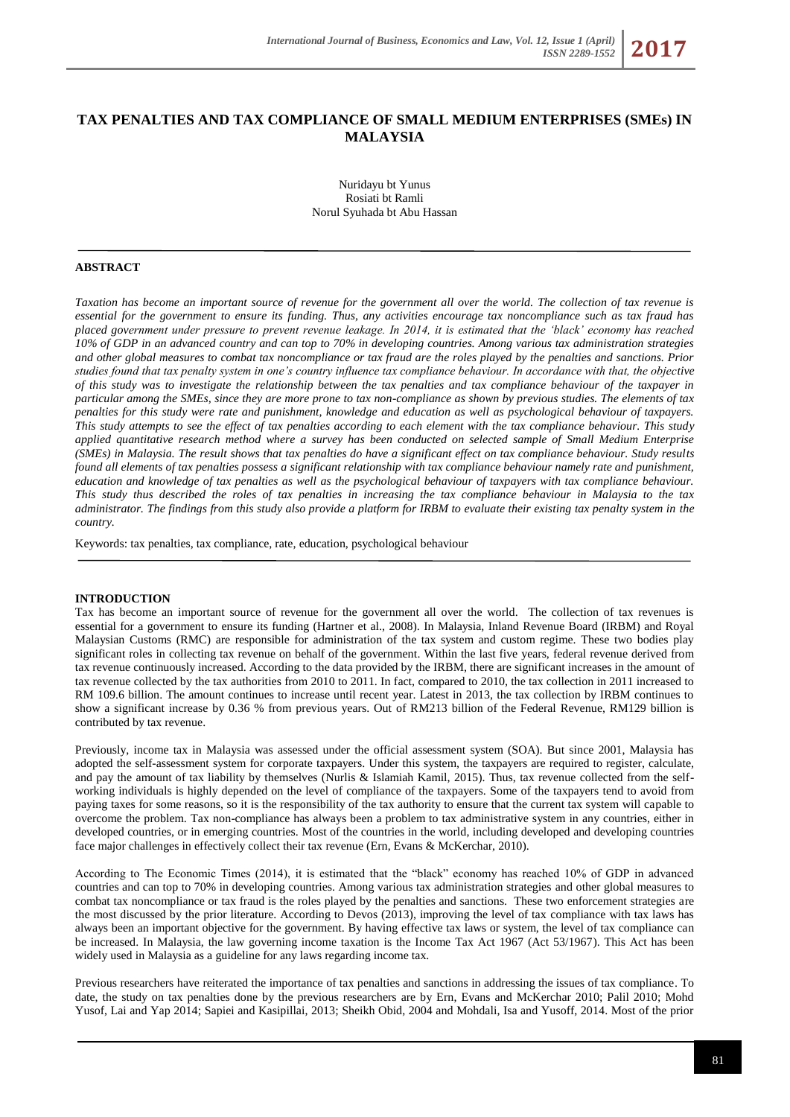# **TAX PENALTIES AND TAX COMPLIANCE OF SMALL MEDIUM ENTERPRISES (SMEs) IN MALAYSIA**

Nuridayu bt Yunus Rosiati bt Ramli Norul Syuhada bt Abu Hassan

## **ABSTRACT**

*Taxation has become an important source of revenue for the government all over the world. The collection of tax revenue is essential for the government to ensure its funding. Thus, any activities encourage tax noncompliance such as tax fraud has placed government under pressure to prevent revenue leakage. In 2014, it is estimated that the 'black' economy has reached 10% of GDP in an advanced country and can top to 70% in developing countries. Among various tax administration strategies and other global measures to combat tax noncompliance or tax fraud are the roles played by the penalties and sanctions. Prior studies found that tax penalty system in one's country influence tax compliance behaviour. In accordance with that, the objective of this study was to investigate the relationship between the tax penalties and tax compliance behaviour of the taxpayer in particular among the SMEs, since they are more prone to tax non-compliance as shown by previous studies. The elements of tax penalties for this study were rate and punishment, knowledge and education as well as psychological behaviour of taxpayers. This study attempts to see the effect of tax penalties according to each element with the tax compliance behaviour. This study applied quantitative research method where a survey has been conducted on selected sample of Small Medium Enterprise (SMEs) in Malaysia. The result shows that tax penalties do have a significant effect on tax compliance behaviour. Study results found all elements of tax penalties possess a significant relationship with tax compliance behaviour namely rate and punishment, education and knowledge of tax penalties as well as the psychological behaviour of taxpayers with tax compliance behaviour. This study thus described the roles of tax penalties in increasing the tax compliance behaviour in Malaysia to the tax administrator. The findings from this study also provide a platform for IRBM to evaluate their existing tax penalty system in the country.*

Keywords: tax penalties, tax compliance, rate, education, psychological behaviour

#### **INTRODUCTION**

Tax has become an important source of revenue for the government all over the world. The collection of tax revenues is essential for a government to ensure its funding (Hartner et al., 2008). In Malaysia, Inland Revenue Board (IRBM) and Royal Malaysian Customs (RMC) are responsible for administration of the tax system and custom regime. These two bodies play significant roles in collecting tax revenue on behalf of the government. Within the last five years, federal revenue derived from tax revenue continuously increased. According to the data provided by the IRBM, there are significant increases in the amount of tax revenue collected by the tax authorities from 2010 to 2011. In fact, compared to 2010, the tax collection in 2011 increased to RM 109.6 billion. The amount continues to increase until recent year. Latest in 2013, the tax collection by IRBM continues to show a significant increase by 0.36 % from previous years. Out of RM213 billion of the Federal Revenue, RM129 billion is contributed by tax revenue.

Previously, income tax in Malaysia was assessed under the official assessment system (SOA). But since 2001, Malaysia has adopted the self-assessment system for corporate taxpayers. Under this system, the taxpayers are required to register, calculate, and pay the amount of tax liability by themselves (Nurlis & Islamiah Kamil, 2015). Thus, tax revenue collected from the selfworking individuals is highly depended on the level of compliance of the taxpayers. Some of the taxpayers tend to avoid from paying taxes for some reasons, so it is the responsibility of the tax authority to ensure that the current tax system will capable to overcome the problem. Tax non-compliance has always been a problem to tax administrative system in any countries, either in developed countries, or in emerging countries. Most of the countries in the world, including developed and developing countries face major challenges in effectively collect their tax revenue (Ern, Evans & McKerchar, 2010).

According to The Economic Times (2014), it is estimated that the "black" economy has reached 10% of GDP in advanced countries and can top to 70% in developing countries. Among various tax administration strategies and other global measures to combat tax noncompliance or tax fraud is the roles played by the penalties and sanctions. These two enforcement strategies are the most discussed by the prior literature. According to Devos (2013), improving the level of tax compliance with tax laws has always been an important objective for the government. By having effective tax laws or system, the level of tax compliance can be increased. In Malaysia, the law governing income taxation is the Income Tax Act 1967 (Act 53/1967). This Act has been widely used in Malaysia as a guideline for any laws regarding income tax.

Previous researchers have reiterated the importance of tax penalties and sanctions in addressing the issues of tax compliance. To date, the study on tax penalties done by the previous researchers are by Ern, Evans and McKerchar 2010; Palil 2010; Mohd Yusof, Lai and Yap 2014; Sapiei and Kasipillai, 2013; Sheikh Obid, 2004 and Mohdali, Isa and Yusoff, 2014. Most of the prior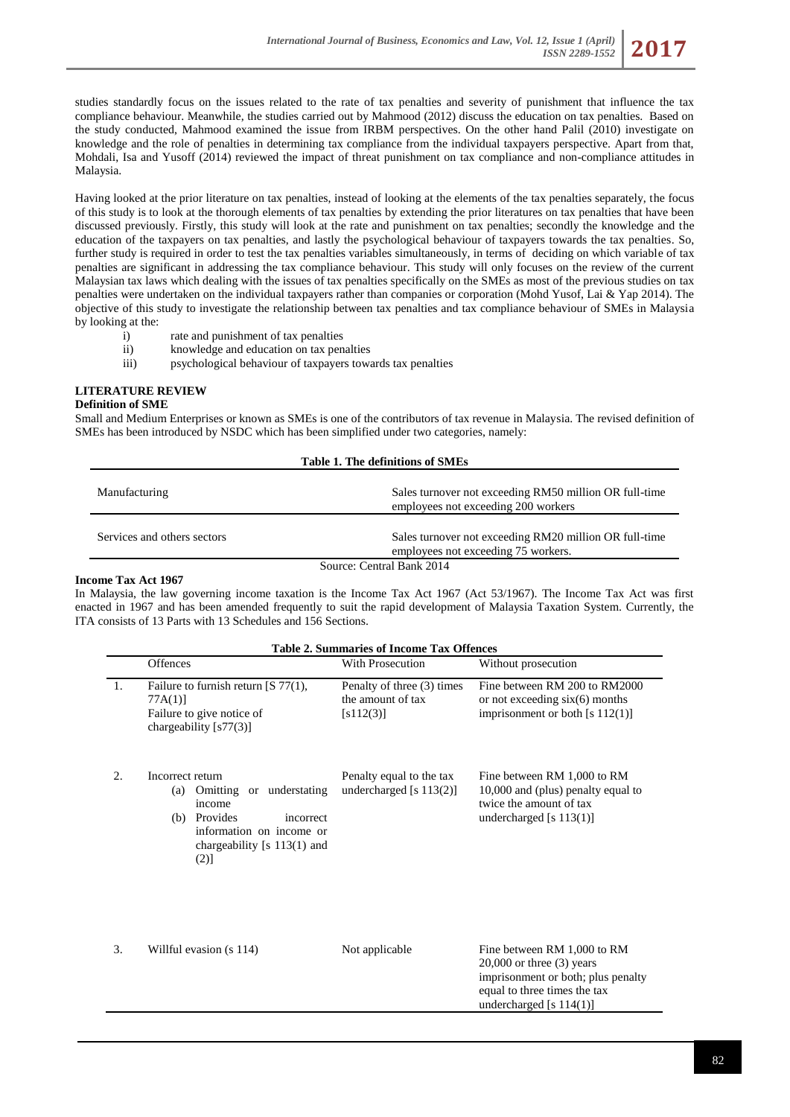studies standardly focus on the issues related to the rate of tax penalties and severity of punishment that influence the tax compliance behaviour. Meanwhile, the studies carried out by Mahmood (2012) discuss the education on tax penalties. Based on the study conducted, Mahmood examined the issue from IRBM perspectives. On the other hand Palil (2010) investigate on knowledge and the role of penalties in determining tax compliance from the individual taxpayers perspective. Apart from that, Mohdali, Isa and Yusoff (2014) reviewed the impact of threat punishment on tax compliance and non-compliance attitudes in Malaysia.

Having looked at the prior literature on tax penalties, instead of looking at the elements of the tax penalties separately, the focus of this study is to look at the thorough elements of tax penalties by extending the prior literatures on tax penalties that have been discussed previously. Firstly, this study will look at the rate and punishment on tax penalties; secondly the knowledge and the education of the taxpayers on tax penalties, and lastly the psychological behaviour of taxpayers towards the tax penalties. So, further study is required in order to test the tax penalties variables simultaneously, in terms of deciding on which variable of tax penalties are significant in addressing the tax compliance behaviour. This study will only focuses on the review of the current Malaysian tax laws which dealing with the issues of tax penalties specifically on the SMEs as most of the previous studies on tax penalties were undertaken on the individual taxpayers rather than companies or corporation (Mohd Yusof, Lai & Yap 2014). The objective of this study to investigate the relationship between tax penalties and tax compliance behaviour of SMEs in Malaysia by looking at the:

- i) rate and punishment of tax penalties
- ii) knowledge and education on tax penalties
- iii) psychological behaviour of taxpayers towards tax penalties

# **LITERATURE REVIEW**

#### **Definition of SME**

Small and Medium Enterprises or known as SMEs is one of the contributors of tax revenue in Malaysia. The revised definition of SMEs has been introduced by NSDC which has been simplified under two categories, namely:

| Table 1. The definitions of SMEs |                                                                                               |  |  |  |
|----------------------------------|-----------------------------------------------------------------------------------------------|--|--|--|
| Manufacturing                    | Sales turnover not exceeding RM50 million OR full-time<br>employees not exceeding 200 workers |  |  |  |
| Services and others sectors      | Sales turnover not exceeding RM20 million OR full-time<br>employees not exceeding 75 workers. |  |  |  |
| Source: Central Bank 2014        |                                                                                               |  |  |  |

## **Income Tax Act 1967**

In Malaysia, the law governing income taxation is the Income Tax Act 1967 (Act 53/1967). The Income Tax Act was first enacted in 1967 and has been amended frequently to suit the rapid development of Malaysia Taxation System. Currently, the ITA consists of 13 Parts with 13 Schedules and 156 Sections.

|    | <b>Table 2. Summaries of Income Tax Offences</b>                                                                                                                   |                                                              |                                                                                                                                                                  |  |  |  |  |  |
|----|--------------------------------------------------------------------------------------------------------------------------------------------------------------------|--------------------------------------------------------------|------------------------------------------------------------------------------------------------------------------------------------------------------------------|--|--|--|--|--|
|    | <b>Offences</b>                                                                                                                                                    | With Prosecution                                             | Without prosecution                                                                                                                                              |  |  |  |  |  |
| 1. | Failure to furnish return $[S 77(1)]$ ,<br>$77A(1)$ ]<br>Failure to give notice of<br>chargeability $[s77(3)]$                                                     | Penalty of three (3) times<br>the amount of tax<br>[s112(3)] | Fine between RM 200 to RM2000<br>or not exceeding $six(6)$ months<br>imprisonment or both $[s 112(1)]$                                                           |  |  |  |  |  |
| 2. | Incorrect return<br>Omitting or understating<br>(a)<br>income<br>Provides<br>incorrect<br>(b)<br>information on income or<br>chargeability [s $113(1)$ and<br>(2)] | Penalty equal to the tax<br>undercharged [s 113(2)]          | Fine between RM 1,000 to RM<br>10,000 and (plus) penalty equal to<br>twice the amount of tax<br>undercharged [s $113(1)$ ]                                       |  |  |  |  |  |
| 3. | Willful evasion (s 114)                                                                                                                                            | Not applicable                                               | Fine between RM 1,000 to RM<br>$20,000$ or three $(3)$ years<br>imprisonment or both; plus penalty<br>equal to three times the tax<br>undercharged [s $114(1)$ ] |  |  |  |  |  |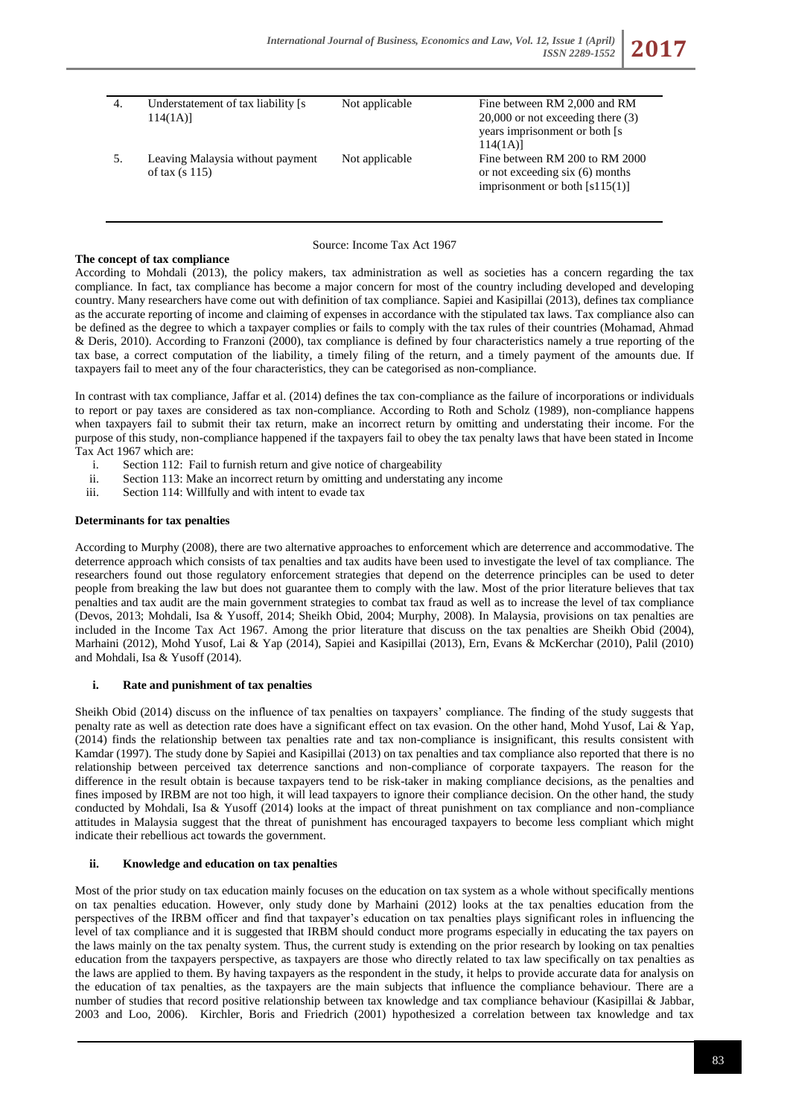| 4. | Understatement of tax liability [s]<br>114(1A)       | Not applicable | Fine between RM 2,000 and RM<br>$20,000$ or not exceeding there $(3)$<br>years imprisonment or both [s]<br>114(1A) |
|----|------------------------------------------------------|----------------|--------------------------------------------------------------------------------------------------------------------|
| 5. | Leaving Malaysia without payment<br>of tax $(s 115)$ | Not applicable | Fine between RM 200 to RM 2000<br>or not exceeding six $(6)$ months<br>imprisonment or both $[s115(1)]$            |

# Source: Income Tax Act 1967

# **The concept of tax compliance**

According to Mohdali (2013), the policy makers, tax administration as well as societies has a concern regarding the tax compliance. In fact, tax compliance has become a major concern for most of the country including developed and developing country. Many researchers have come out with definition of tax compliance. Sapiei and Kasipillai (2013), defines tax compliance as the accurate reporting of income and claiming of expenses in accordance with the stipulated tax laws. Tax compliance also can be defined as the degree to which a taxpayer complies or fails to comply with the tax rules of their countries (Mohamad, Ahmad & Deris, 2010). According to Franzoni (2000), tax compliance is defined by four characteristics namely a true reporting of the tax base, a correct computation of the liability, a timely filing of the return, and a timely payment of the amounts due. If taxpayers fail to meet any of the four characteristics, they can be categorised as non-compliance.

In contrast with tax compliance, Jaffar et al. (2014) defines the tax con-compliance as the failure of incorporations or individuals to report or pay taxes are considered as tax non-compliance. According to Roth and Scholz (1989), non-compliance happens when taxpayers fail to submit their tax return, make an incorrect return by omitting and understating their income. For the purpose of this study, non-compliance happened if the taxpayers fail to obey the tax penalty laws that have been stated in Income Tax Act 1967 which are:

- i. Section 112: Fail to furnish return and give notice of chargeability
- ii. Section 113: Make an incorrect return by omitting and understating any income
- iii. Section 114: Willfully and with intent to evade tax

## **Determinants for tax penalties**

According to Murphy (2008), there are two alternative approaches to enforcement which are deterrence and accommodative. The deterrence approach which consists of tax penalties and tax audits have been used to investigate the level of tax compliance. The researchers found out those regulatory enforcement strategies that depend on the deterrence principles can be used to deter people from breaking the law but does not guarantee them to comply with the law. Most of the prior literature believes that tax penalties and tax audit are the main government strategies to combat tax fraud as well as to increase the level of tax compliance (Devos, 2013; Mohdali, Isa & Yusoff, 2014; Sheikh Obid, 2004; Murphy, 2008). In Malaysia, provisions on tax penalties are included in the Income Tax Act 1967. Among the prior literature that discuss on the tax penalties are Sheikh Obid (2004), Marhaini (2012), Mohd Yusof, Lai & Yap (2014), Sapiei and Kasipillai (2013), Ern, Evans & McKerchar (2010), Palil (2010) and Mohdali, Isa & Yusoff (2014).

## **i. Rate and punishment of tax penalties**

Sheikh Obid (2014) discuss on the influence of tax penalties on taxpayers' compliance. The finding of the study suggests that penalty rate as well as detection rate does have a significant effect on tax evasion. On the other hand, Mohd Yusof, Lai & Yap, (2014) finds the relationship between tax penalties rate and tax non-compliance is insignificant, this results consistent with Kamdar (1997). The study done by Sapiei and Kasipillai (2013) on tax penalties and tax compliance also reported that there is no relationship between perceived tax deterrence sanctions and non-compliance of corporate taxpayers. The reason for the difference in the result obtain is because taxpayers tend to be risk-taker in making compliance decisions, as the penalties and fines imposed by IRBM are not too high, it will lead taxpayers to ignore their compliance decision. On the other hand, the study conducted by Mohdali, Isa & Yusoff (2014) looks at the impact of threat punishment on tax compliance and non-compliance attitudes in Malaysia suggest that the threat of punishment has encouraged taxpayers to become less compliant which might indicate their rebellious act towards the government.

# **ii. Knowledge and education on tax penalties**

Most of the prior study on tax education mainly focuses on the education on tax system as a whole without specifically mentions on tax penalties education. However, only study done by Marhaini (2012) looks at the tax penalties education from the perspectives of the IRBM officer and find that taxpayer's education on tax penalties plays significant roles in influencing the level of tax compliance and it is suggested that IRBM should conduct more programs especially in educating the tax payers on the laws mainly on the tax penalty system. Thus, the current study is extending on the prior research by looking on tax penalties education from the taxpayers perspective, as taxpayers are those who directly related to tax law specifically on tax penalties as the laws are applied to them. By having taxpayers as the respondent in the study, it helps to provide accurate data for analysis on the education of tax penalties, as the taxpayers are the main subjects that influence the compliance behaviour. There are a number of studies that record positive relationship between tax knowledge and tax compliance behaviour (Kasipillai & Jabbar, 2003 and Loo, 2006). Kirchler, Boris and Friedrich (2001) hypothesized a correlation between tax knowledge and tax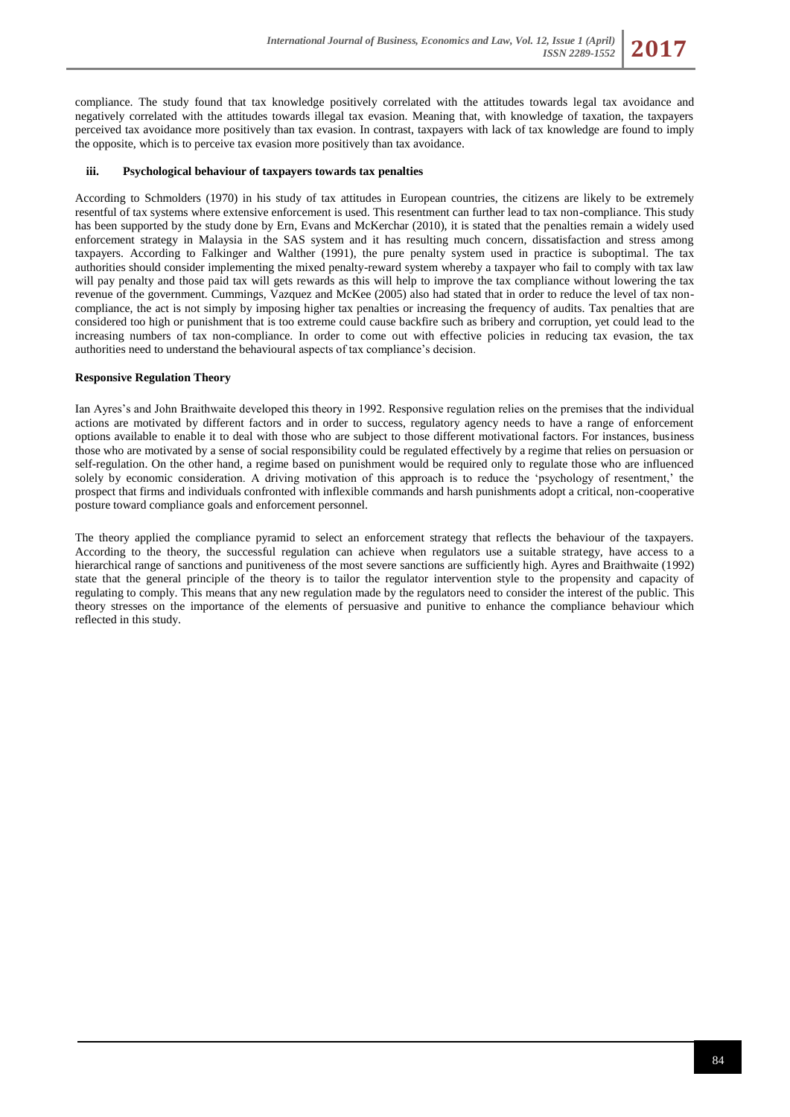compliance. The study found that tax knowledge positively correlated with the attitudes towards legal tax avoidance and negatively correlated with the attitudes towards illegal tax evasion. Meaning that, with knowledge of taxation, the taxpayers perceived tax avoidance more positively than tax evasion. In contrast, taxpayers with lack of tax knowledge are found to imply the opposite, which is to perceive tax evasion more positively than tax avoidance.

## **iii. Psychological behaviour of taxpayers towards tax penalties**

According to Schmolders (1970) in his study of tax attitudes in European countries, the citizens are likely to be extremely resentful of tax systems where extensive enforcement is used. This resentment can further lead to tax non-compliance. This study has been supported by the study done by Ern, Evans and McKerchar (2010), it is stated that the penalties remain a widely used enforcement strategy in Malaysia in the SAS system and it has resulting much concern, dissatisfaction and stress among taxpayers. According to Falkinger and Walther (1991), the pure penalty system used in practice is suboptimal. The tax authorities should consider implementing the mixed penalty-reward system whereby a taxpayer who fail to comply with tax law will pay penalty and those paid tax will gets rewards as this will help to improve the tax compliance without lowering the tax revenue of the government. Cummings, Vazquez and McKee (2005) also had stated that in order to reduce the level of tax noncompliance, the act is not simply by imposing higher tax penalties or increasing the frequency of audits. Tax penalties that are considered too high or punishment that is too extreme could cause backfire such as bribery and corruption, yet could lead to the increasing numbers of tax non-compliance. In order to come out with effective policies in reducing tax evasion, the tax authorities need to understand the behavioural aspects of tax compliance's decision.

#### **Responsive Regulation Theory**

Ian Ayres's and John Braithwaite developed this theory in 1992. Responsive regulation relies on the premises that the individual actions are motivated by different factors and in order to success, regulatory agency needs to have a range of enforcement options available to enable it to deal with those who are subject to those different motivational factors. For instances, business those who are motivated by a sense of social responsibility could be regulated effectively by a regime that relies on persuasion or self-regulation. On the other hand, a regime based on punishment would be required only to regulate those who are influenced solely by economic consideration. A driving motivation of this approach is to reduce the 'psychology of resentment,' the prospect that firms and individuals confronted with inflexible commands and harsh punishments adopt a critical, non-cooperative posture toward compliance goals and enforcement personnel.

The theory applied the compliance pyramid to select an enforcement strategy that reflects the behaviour of the taxpayers. According to the theory, the successful regulation can achieve when regulators use a suitable strategy, have access to a hierarchical range of sanctions and punitiveness of the most severe sanctions are sufficiently high. Ayres and Braithwaite (1992) state that the general principle of the theory is to tailor the regulator intervention style to the propensity and capacity of regulating to comply. This means that any new regulation made by the regulators need to consider the interest of the public. This theory stresses on the importance of the elements of persuasive and punitive to enhance the compliance behaviour which reflected in this study.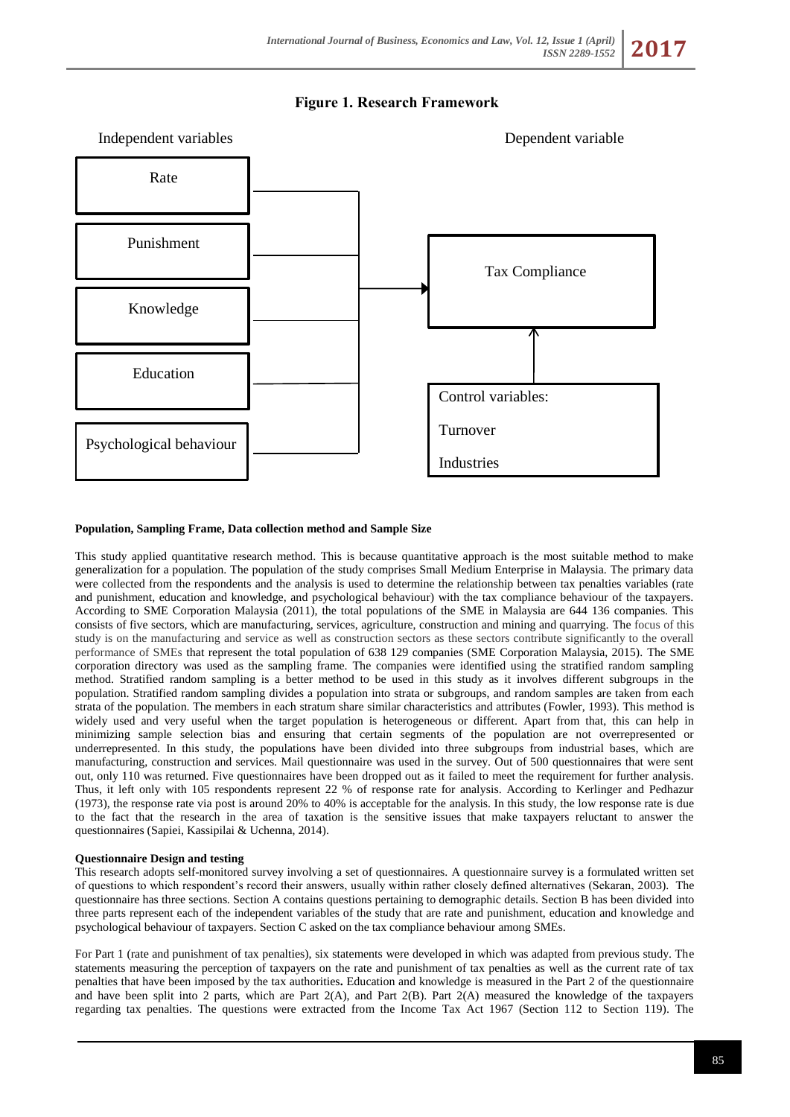



## **Population, Sampling Frame, Data collection method and Sample Size**

This study applied quantitative research method. This is because quantitative approach is the most suitable method to make generalization for a population. The population of the study comprises Small Medium Enterprise in Malaysia. The primary data were collected from the respondents and the analysis is used to determine the relationship between tax penalties variables (rate and punishment, education and knowledge, and psychological behaviour) with the tax compliance behaviour of the taxpayers. According to SME Corporation Malaysia (2011), the total populations of the SME in Malaysia are 644 136 companies. This consists of five sectors, which are manufacturing, services, agriculture, construction and mining and quarrying. The focus of this study is on the manufacturing and service as well as construction sectors as these sectors contribute significantly to the overall performance of SMEs that represent the total population of 638 129 companies (SME Corporation Malaysia, 2015). The SME corporation directory was used as the sampling frame. The companies were identified using the stratified random sampling method. Stratified random sampling is a better method to be used in this study as it involves different subgroups in the population. Stratified random sampling divides a population into strata or subgroups, and random samples are taken from each strata of the population. The members in each stratum share similar characteristics and attributes (Fowler, 1993). This method is widely used and very useful when the target population is heterogeneous or different. Apart from that, this can help in minimizing sample selection bias and ensuring that certain segments of the population are not overrepresented or underrepresented. In this study, the populations have been divided into three subgroups from industrial bases, which are manufacturing, construction and services. Mail questionnaire was used in the survey. Out of 500 questionnaires that were sent out, only 110 was returned. Five questionnaires have been dropped out as it failed to meet the requirement for further analysis. Thus, it left only with 105 respondents represent 22 % of response rate for analysis. According to Kerlinger and Pedhazur (1973), the response rate via post is around 20% to 40% is acceptable for the analysis. In this study, the low response rate is due to the fact that the research in the area of taxation is the sensitive issues that make taxpayers reluctant to answer the questionnaires (Sapiei, Kassipilai & Uchenna, 2014).

#### **Questionnaire Design and testing**

This research adopts self-monitored survey involving a set of questionnaires. A questionnaire survey is a formulated written set of questions to which respondent's record their answers, usually within rather closely defined alternatives (Sekaran, 2003). The questionnaire has three sections. Section A contains questions pertaining to demographic details. Section B has been divided into three parts represent each of the independent variables of the study that are rate and punishment, education and knowledge and psychological behaviour of taxpayers. Section C asked on the tax compliance behaviour among SMEs.

For Part 1 (rate and punishment of tax penalties), six statements were developed in which was adapted from previous study. The statements measuring the perception of taxpayers on the rate and punishment of tax penalties as well as the current rate of tax penalties that have been imposed by the tax authorities**.** Education and knowledge is measured in the Part 2 of the questionnaire and have been split into 2 parts, which are Part  $2(A)$ , and Part  $2(B)$ . Part  $2(A)$  measured the knowledge of the taxpayers regarding tax penalties. The questions were extracted from the Income Tax Act 1967 (Section 112 to Section 119). The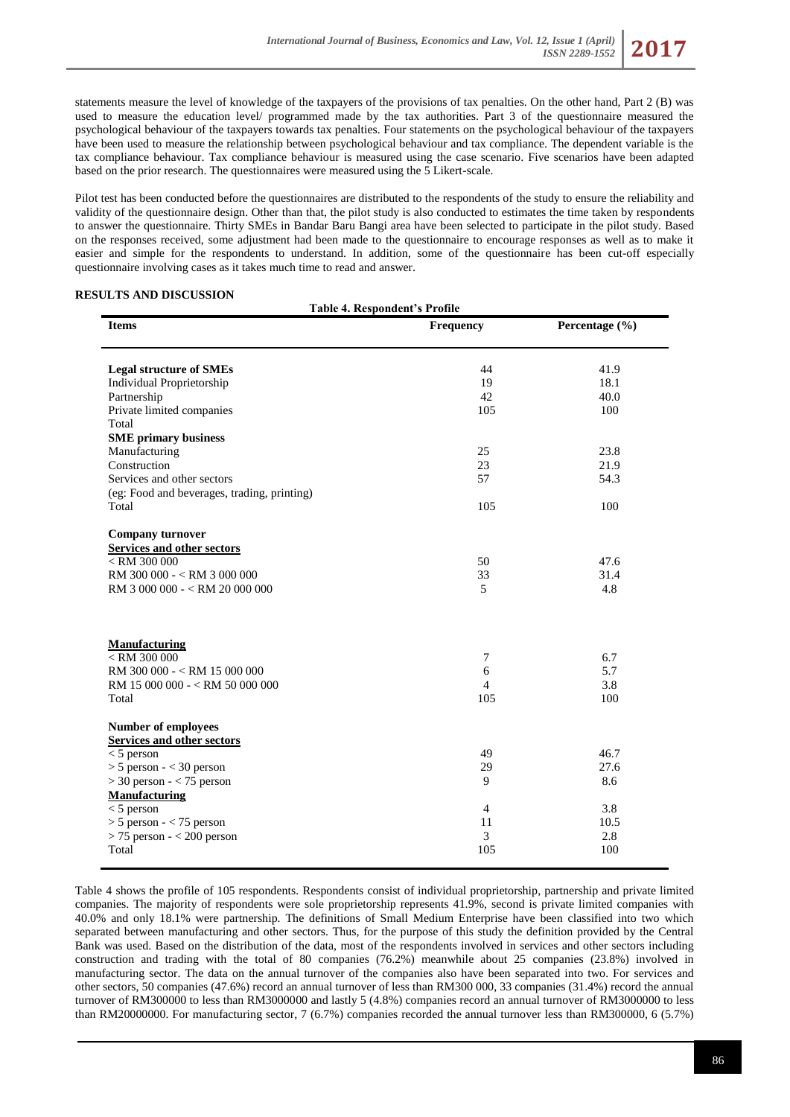statements measure the level of knowledge of the taxpayers of the provisions of tax penalties. On the other hand, Part 2 (B) was used to measure the education level/ programmed made by the tax authorities. Part 3 of the questionnaire measured the psychological behaviour of the taxpayers towards tax penalties. Four statements on the psychological behaviour of the taxpayers have been used to measure the relationship between psychological behaviour and tax compliance. The dependent variable is the tax compliance behaviour. Tax compliance behaviour is measured using the case scenario. Five scenarios have been adapted based on the prior research. The questionnaires were measured using the 5 Likert-scale.

Pilot test has been conducted before the questionnaires are distributed to the respondents of the study to ensure the reliability and validity of the questionnaire design. Other than that, the pilot study is also conducted to estimates the time taken by respondents to answer the questionnaire. Thirty SMEs in Bandar Baru Bangi area have been selected to participate in the pilot study. Based on the responses received, some adjustment had been made to the questionnaire to encourage responses as well as to make it easier and simple for the respondents to understand. In addition, some of the questionnaire has been cut-off especially questionnaire involving cases as it takes much time to read and answer.

#### **RESULTS AND DISCUSSION**

| <b>Table 4. Respondent's Profile</b>        |                |                |  |  |  |
|---------------------------------------------|----------------|----------------|--|--|--|
| <b>Items</b>                                | Frequency      | Percentage (%) |  |  |  |
|                                             |                |                |  |  |  |
| <b>Legal structure of SMEs</b>              | 44             | 41.9           |  |  |  |
| Individual Proprietorship                   | 19             | 18.1           |  |  |  |
| Partnership                                 | 42             | 40.0           |  |  |  |
| Private limited companies                   | 105            | 100            |  |  |  |
| Total                                       |                |                |  |  |  |
| <b>SME</b> primary business                 |                |                |  |  |  |
| Manufacturing                               | 25             | 23.8           |  |  |  |
| Construction                                | 23             | 21.9           |  |  |  |
| Services and other sectors                  | 57             | 54.3           |  |  |  |
| (eg: Food and beverages, trading, printing) |                |                |  |  |  |
| Total                                       | 105            | 100            |  |  |  |
| <b>Company turnover</b>                     |                |                |  |  |  |
| <b>Services and other sectors</b>           |                |                |  |  |  |
| $<$ RM 300 000                              | 50             | 47.6           |  |  |  |
| RM 300 000 - < RM 3 000 000                 | 33             | 31.4           |  |  |  |
| RM 3 000 000 - < RM 20 000 000              | 5              | 4.8            |  |  |  |
|                                             |                |                |  |  |  |
| <b>Manufacturing</b>                        |                |                |  |  |  |
| $<$ RM 300 000                              | 7              | 6.7            |  |  |  |
| RM 300 000 - < RM 15 000 000                | 6              | 5.7            |  |  |  |
| RM 15 000 000 - < RM 50 000 000             | $\overline{4}$ | 3.8            |  |  |  |
| Total                                       | 105            | 100            |  |  |  |
| <b>Number of employees</b>                  |                |                |  |  |  |
| <b>Services and other sectors</b>           |                |                |  |  |  |
| $<$ 5 person                                | 49             | 46.7           |  |  |  |
| $> 5$ person - < 30 person                  | 29             | 27.6           |  |  |  |
| $>$ 30 person - < 75 person                 | 9              | 8.6            |  |  |  |
| <b>Manufacturing</b>                        |                |                |  |  |  |
| $<$ 5 person                                | $\overline{4}$ | 3.8            |  |  |  |
| $> 5$ person - $< 75$ person                | 11             | 10.5           |  |  |  |
| $> 75$ person $- < 200$ person              | 3              | 2.8            |  |  |  |
| Total                                       | 105            | 100            |  |  |  |

Table 4 shows the profile of 105 respondents. Respondents consist of individual proprietorship, partnership and private limited companies. The majority of respondents were sole proprietorship represents 41.9%, second is private limited companies with 40.0% and only 18.1% were partnership. The definitions of Small Medium Enterprise have been classified into two which separated between manufacturing and other sectors. Thus, for the purpose of this study the definition provided by the Central Bank was used. Based on the distribution of the data, most of the respondents involved in services and other sectors including construction and trading with the total of 80 companies (76.2%) meanwhile about 25 companies (23.8%) involved in manufacturing sector. The data on the annual turnover of the companies also have been separated into two. For services and other sectors, 50 companies (47.6%) record an annual turnover of less than RM300 000, 33 companies (31.4%) record the annual turnover of RM300000 to less than RM3000000 and lastly 5 (4.8%) companies record an annual turnover of RM3000000 to less than RM20000000. For manufacturing sector, 7 (6.7%) companies recorded the annual turnover less than RM300000, 6 (5.7%)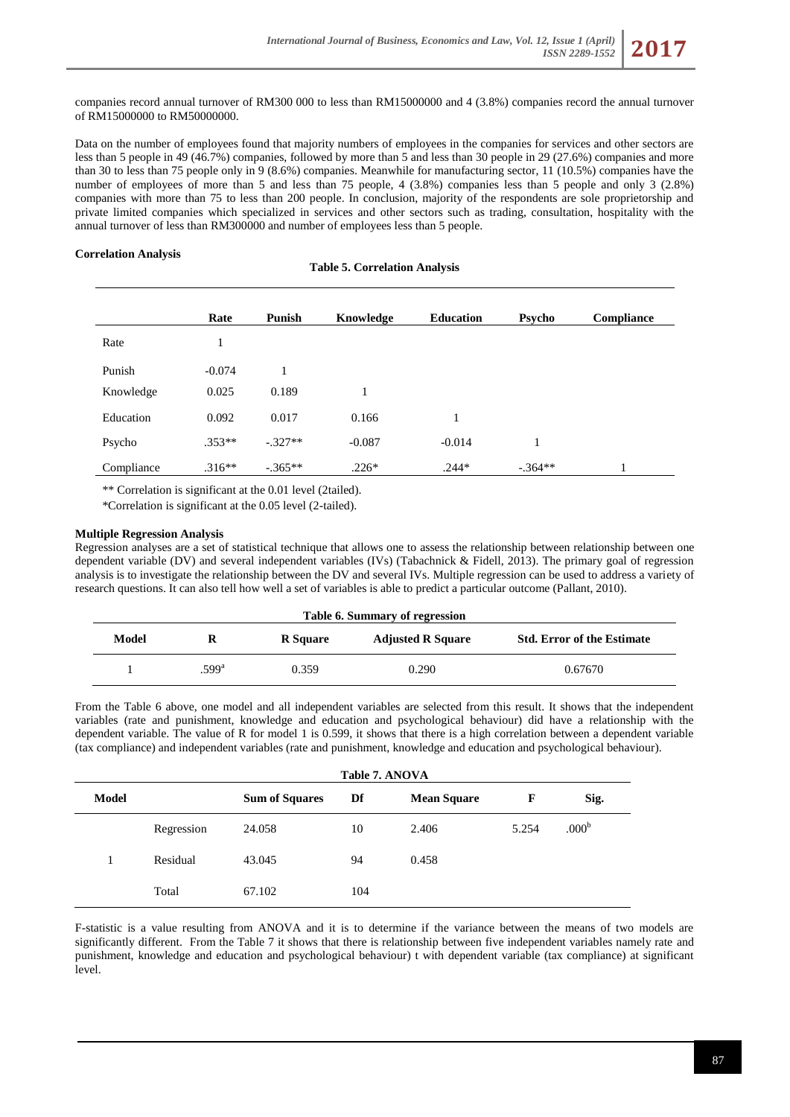companies record annual turnover of RM300 000 to less than RM15000000 and 4 (3.8%) companies record the annual turnover of RM15000000 to RM50000000.

Data on the number of employees found that majority numbers of employees in the companies for services and other sectors are less than 5 people in 49 (46.7%) companies, followed by more than 5 and less than 30 people in 29 (27.6%) companies and more than 30 to less than 75 people only in 9 (8.6%) companies. Meanwhile for manufacturing sector, 11 (10.5%) companies have the number of employees of more than 5 and less than 75 people, 4 (3.8%) companies less than 5 people and only 3 (2.8%) companies with more than 75 to less than 200 people. In conclusion, majority of the respondents are sole proprietorship and private limited companies which specialized in services and other sectors such as trading, consultation, hospitality with the annual turnover of less than RM300000 and number of employees less than 5 people.

# **Correlation Analysis**

**Table 5. Correlation Analysis**

|            | Rate     | <b>Punish</b> | Knowledge | <b>Education</b> | Psycho    | Compliance |
|------------|----------|---------------|-----------|------------------|-----------|------------|
| Rate       | 1        |               |           |                  |           |            |
| Punish     | $-0.074$ | 1             |           |                  |           |            |
| Knowledge  | 0.025    | 0.189         | 1         |                  |           |            |
| Education  | 0.092    | 0.017         | 0.166     | 1                |           |            |
| Psycho     | $.353**$ | $-.327**$     | $-0.087$  | $-0.014$         | 1         |            |
| Compliance | $.316**$ | $-.365**$     | $.226*$   | $.244*$          | $-.364**$ | 1          |

\*\* Correlation is significant at the 0.01 level (2tailed).

\*Correlation is significant at the 0.05 level (2-tailed).

# **Multiple Regression Analysis**

Regression analyses are a set of statistical technique that allows one to assess the relationship between relationship between one dependent variable (DV) and several independent variables (IVs) (Tabachnick & Fidell, 2013). The primary goal of regression analysis is to investigate the relationship between the DV and several IVs. Multiple regression can be used to address a variety of research questions. It can also tell how well a set of variables is able to predict a particular outcome (Pallant, 2010).

| Table 6. Summary of regression |                   |                 |                          |                                   |  |  |
|--------------------------------|-------------------|-----------------|--------------------------|-----------------------------------|--|--|
| Model                          | R                 | <b>R</b> Square | <b>Adjusted R Square</b> | <b>Std. Error of the Estimate</b> |  |  |
|                                | .599 <sup>a</sup> | 0.359           | 0.290                    | 0.67670                           |  |  |

From the Table 6 above, one model and all independent variables are selected from this result. It shows that the independent variables (rate and punishment, knowledge and education and psychological behaviour) did have a relationship with the dependent variable. The value of R for model 1 is 0.599, it shows that there is a high correlation between a dependent variable (tax compliance) and independent variables (rate and punishment, knowledge and education and psychological behaviour).

|              | Table 7. ANOVA |                       |     |                    |       |                   |
|--------------|----------------|-----------------------|-----|--------------------|-------|-------------------|
| <b>Model</b> |                | <b>Sum of Squares</b> | Df  | <b>Mean Square</b> | F     | Sig.              |
|              | Regression     | 24.058                | 10  | 2.406              | 5.254 | .000 <sup>b</sup> |
|              | Residual       | 43.045                | 94  | 0.458              |       |                   |
|              | Total          | 67.102                | 104 |                    |       |                   |

F-statistic is a value resulting from ANOVA and it is to determine if the variance between the means of two models are significantly different. From the Table 7 it shows that there is relationship between five independent variables namely rate and punishment, knowledge and education and psychological behaviour) t with dependent variable (tax compliance) at significant level.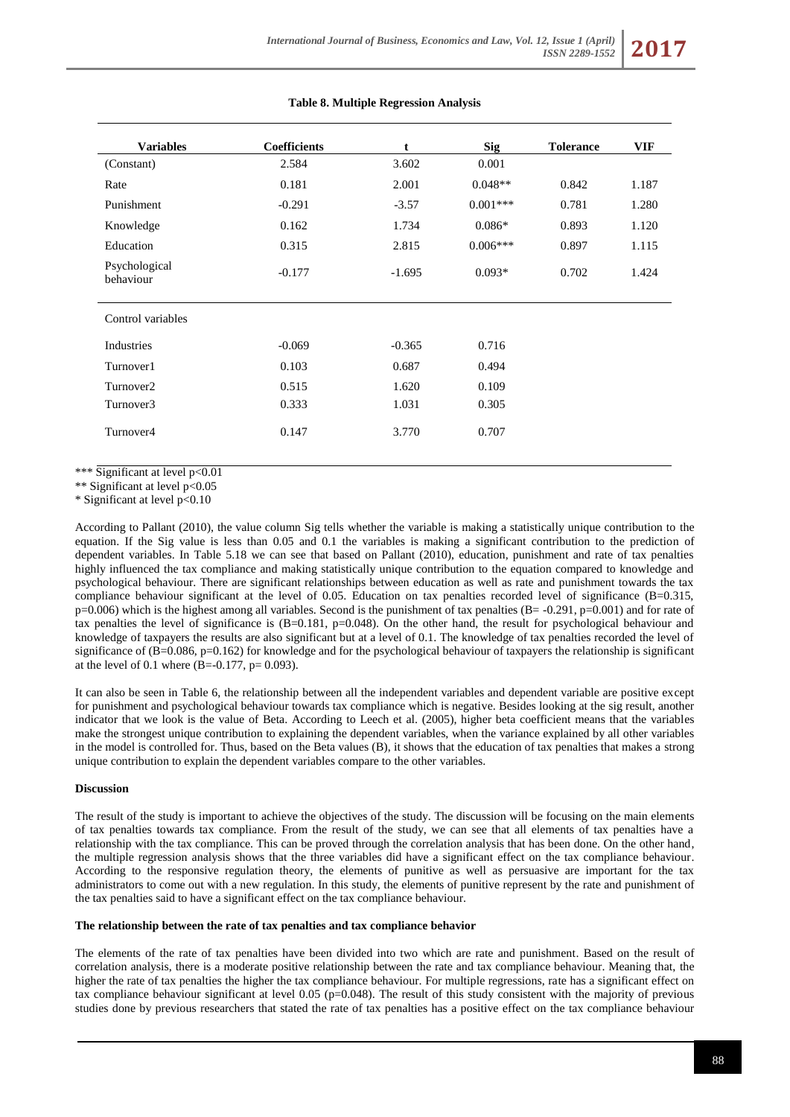| <b>Variables</b>           | <b>Coefficients</b> | t        | <b>Sig</b> | <b>Tolerance</b> | <b>VIF</b> |
|----------------------------|---------------------|----------|------------|------------------|------------|
| (Constant)                 | 2.584               | 3.602    | 0.001      |                  |            |
|                            |                     |          |            |                  |            |
| Rate                       | 0.181               | 2.001    | $0.048**$  | 0.842            | 1.187      |
| Punishment                 | $-0.291$            | $-3.57$  | $0.001***$ | 0.781            | 1.280      |
| Knowledge                  | 0.162               | 1.734    | $0.086*$   | 0.893            | 1.120      |
| Education                  | 0.315               | 2.815    | $0.006***$ | 0.897            | 1.115      |
| Psychological<br>behaviour | $-0.177$            | $-1.695$ | $0.093*$   | 0.702            | 1.424      |
| Control variables          |                     |          |            |                  |            |
| Industries                 | $-0.069$            | $-0.365$ | 0.716      |                  |            |
| Turnover1                  | 0.103               | 0.687    | 0.494      |                  |            |
| Turnover2                  | 0.515               | 1.620    | 0.109      |                  |            |
| Turnover3                  | 0.333               | 1.031    | 0.305      |                  |            |
| Turnover4                  | 0.147               | 3.770    | 0.707      |                  |            |

#### **Table 8. Multiple Regression Analysis**

\*\*\* Significant at level p<0.01

\*\* Significant at level p<0.05

\* Significant at level p<0.10

According to Pallant (2010), the value column Sig tells whether the variable is making a statistically unique contribution to the equation. If the Sig value is less than 0.05 and 0.1 the variables is making a significant contribution to the prediction of dependent variables. In Table 5.18 we can see that based on Pallant (2010), education, punishment and rate of tax penalties highly influenced the tax compliance and making statistically unique contribution to the equation compared to knowledge and psychological behaviour. There are significant relationships between education as well as rate and punishment towards the tax compliance behaviour significant at the level of 0.05. Education on tax penalties recorded level of significance (B=0.315, p=0.006) which is the highest among all variables. Second is the punishment of tax penalties (B= -0.291, p=0.001) and for rate of tax penalties the level of significance is  $(B=0.181, p=0.048)$ . On the other hand, the result for psychological behaviour and knowledge of taxpayers the results are also significant but at a level of 0.1. The knowledge of tax penalties recorded the level of significance of  $(B=0.086, p=0.162)$  for knowledge and for the psychological behaviour of taxpayers the relationship is significant at the level of 0.1 where  $(B=-0.177, p=0.093)$ .

It can also be seen in Table 6, the relationship between all the independent variables and dependent variable are positive except for punishment and psychological behaviour towards tax compliance which is negative. Besides looking at the sig result, another indicator that we look is the value of Beta. According to Leech et al. (2005), higher beta coefficient means that the variables make the strongest unique contribution to explaining the dependent variables, when the variance explained by all other variables in the model is controlled for. Thus, based on the Beta values (B), it shows that the education of tax penalties that makes a strong unique contribution to explain the dependent variables compare to the other variables.

#### **Discussion**

The result of the study is important to achieve the objectives of the study. The discussion will be focusing on the main elements of tax penalties towards tax compliance. From the result of the study, we can see that all elements of tax penalties have a relationship with the tax compliance. This can be proved through the correlation analysis that has been done. On the other hand, the multiple regression analysis shows that the three variables did have a significant effect on the tax compliance behaviour. According to the responsive regulation theory, the elements of punitive as well as persuasive are important for the tax administrators to come out with a new regulation. In this study, the elements of punitive represent by the rate and punishment of the tax penalties said to have a significant effect on the tax compliance behaviour.

#### **The relationship between the rate of tax penalties and tax compliance behavior**

The elements of the rate of tax penalties have been divided into two which are rate and punishment. Based on the result of correlation analysis, there is a moderate positive relationship between the rate and tax compliance behaviour. Meaning that, the higher the rate of tax penalties the higher the tax compliance behaviour. For multiple regressions, rate has a significant effect on tax compliance behaviour significant at level 0.05 (p=0.048). The result of this study consistent with the majority of previous studies done by previous researchers that stated the rate of tax penalties has a positive effect on the tax compliance behaviour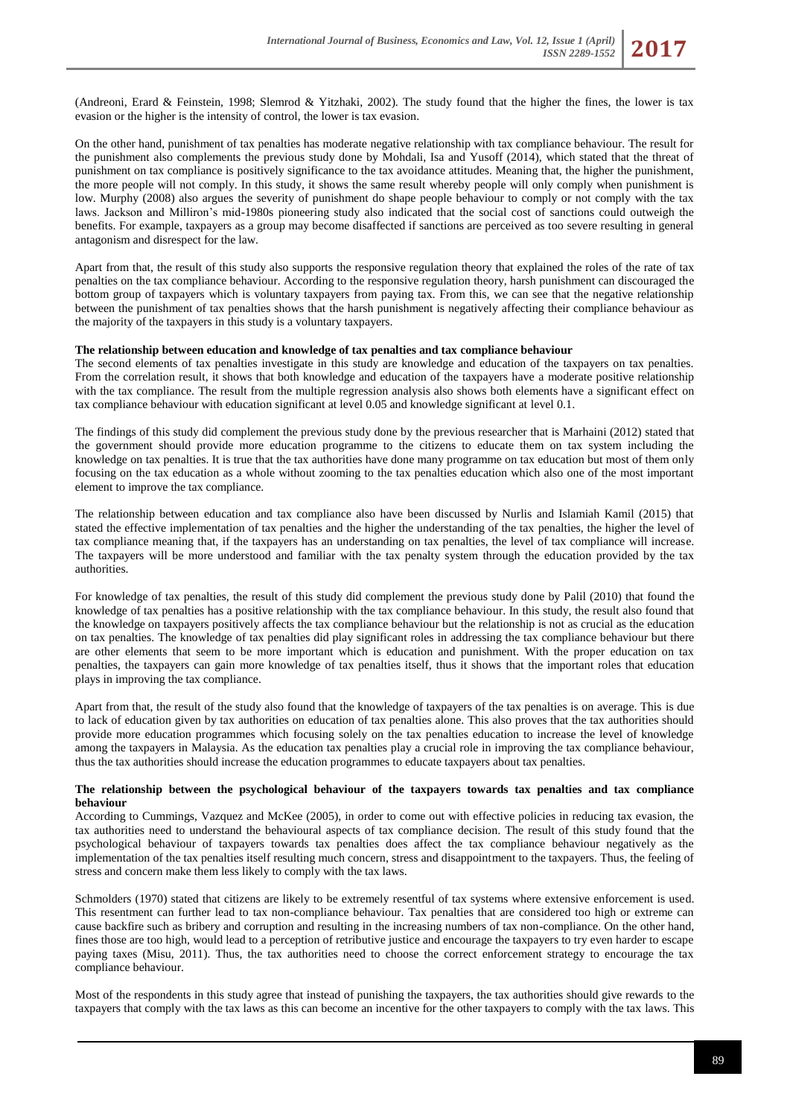(Andreoni, Erard & Feinstein, 1998; Slemrod & Yitzhaki, 2002). The study found that the higher the fines, the lower is tax evasion or the higher is the intensity of control, the lower is tax evasion.

On the other hand, punishment of tax penalties has moderate negative relationship with tax compliance behaviour. The result for the punishment also complements the previous study done by Mohdali, Isa and Yusoff (2014), which stated that the threat of punishment on tax compliance is positively significance to the tax avoidance attitudes. Meaning that, the higher the punishment, the more people will not comply. In this study, it shows the same result whereby people will only comply when punishment is low. Murphy (2008) also argues the severity of punishment do shape people behaviour to comply or not comply with the tax laws. Jackson and Milliron's mid-1980s pioneering study also indicated that the social cost of sanctions could outweigh the benefits. For example, taxpayers as a group may become disaffected if sanctions are perceived as too severe resulting in general antagonism and disrespect for the law.

Apart from that, the result of this study also supports the responsive regulation theory that explained the roles of the rate of tax penalties on the tax compliance behaviour. According to the responsive regulation theory, harsh punishment can discouraged the bottom group of taxpayers which is voluntary taxpayers from paying tax. From this, we can see that the negative relationship between the punishment of tax penalties shows that the harsh punishment is negatively affecting their compliance behaviour as the majority of the taxpayers in this study is a voluntary taxpayers.

#### **The relationship between education and knowledge of tax penalties and tax compliance behaviour**

The second elements of tax penalties investigate in this study are knowledge and education of the taxpayers on tax penalties. From the correlation result, it shows that both knowledge and education of the taxpayers have a moderate positive relationship with the tax compliance. The result from the multiple regression analysis also shows both elements have a significant effect on tax compliance behaviour with education significant at level 0.05 and knowledge significant at level 0.1.

The findings of this study did complement the previous study done by the previous researcher that is Marhaini (2012) stated that the government should provide more education programme to the citizens to educate them on tax system including the knowledge on tax penalties. It is true that the tax authorities have done many programme on tax education but most of them only focusing on the tax education as a whole without zooming to the tax penalties education which also one of the most important element to improve the tax compliance.

The relationship between education and tax compliance also have been discussed by Nurlis and Islamiah Kamil (2015) that stated the effective implementation of tax penalties and the higher the understanding of the tax penalties, the higher the level of tax compliance meaning that, if the taxpayers has an understanding on tax penalties, the level of tax compliance will increase. The taxpayers will be more understood and familiar with the tax penalty system through the education provided by the tax authorities.

For knowledge of tax penalties, the result of this study did complement the previous study done by Palil (2010) that found the knowledge of tax penalties has a positive relationship with the tax compliance behaviour. In this study, the result also found that the knowledge on taxpayers positively affects the tax compliance behaviour but the relationship is not as crucial as the education on tax penalties. The knowledge of tax penalties did play significant roles in addressing the tax compliance behaviour but there are other elements that seem to be more important which is education and punishment. With the proper education on tax penalties, the taxpayers can gain more knowledge of tax penalties itself, thus it shows that the important roles that education plays in improving the tax compliance.

Apart from that, the result of the study also found that the knowledge of taxpayers of the tax penalties is on average. This is due to lack of education given by tax authorities on education of tax penalties alone. This also proves that the tax authorities should provide more education programmes which focusing solely on the tax penalties education to increase the level of knowledge among the taxpayers in Malaysia. As the education tax penalties play a crucial role in improving the tax compliance behaviour, thus the tax authorities should increase the education programmes to educate taxpayers about tax penalties.

#### **The relationship between the psychological behaviour of the taxpayers towards tax penalties and tax compliance behaviour**

According to Cummings, Vazquez and McKee (2005), in order to come out with effective policies in reducing tax evasion, the tax authorities need to understand the behavioural aspects of tax compliance decision. The result of this study found that the psychological behaviour of taxpayers towards tax penalties does affect the tax compliance behaviour negatively as the implementation of the tax penalties itself resulting much concern, stress and disappointment to the taxpayers. Thus, the feeling of stress and concern make them less likely to comply with the tax laws.

Schmolders (1970) stated that citizens are likely to be extremely resentful of tax systems where extensive enforcement is used. This resentment can further lead to tax non-compliance behaviour. Tax penalties that are considered too high or extreme can cause backfire such as bribery and corruption and resulting in the increasing numbers of tax non-compliance. On the other hand, fines those are too high, would lead to a perception of retributive justice and encourage the taxpayers to try even harder to escape paying taxes (Misu, 2011). Thus, the tax authorities need to choose the correct enforcement strategy to encourage the tax compliance behaviour.

Most of the respondents in this study agree that instead of punishing the taxpayers, the tax authorities should give rewards to the taxpayers that comply with the tax laws as this can become an incentive for the other taxpayers to comply with the tax laws. This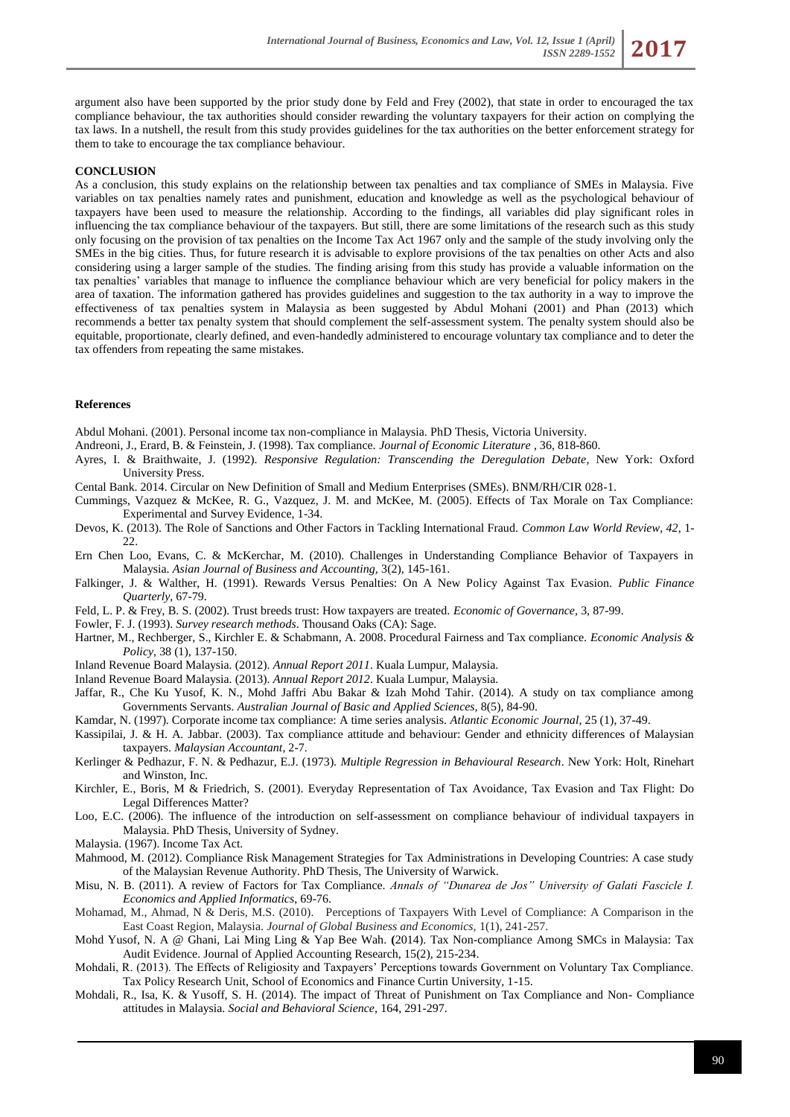argument also have been supported by the prior study done by Feld and Frey (2002), that state in order to encouraged the tax compliance behaviour, the tax authorities should consider rewarding the voluntary taxpayers for their action on complying the tax laws. In a nutshell, the result from this study provides guidelines for the tax authorities on the better enforcement strategy for them to take to encourage the tax compliance behaviour.

#### **CONCLUSION**

As a conclusion, this study explains on the relationship between tax penalties and tax compliance of SMEs in Malaysia. Five variables on tax penalties namely rates and punishment, education and knowledge as well as the psychological behaviour of taxpayers have been used to measure the relationship. According to the findings, all variables did play significant roles in influencing the tax compliance behaviour of the taxpayers. But still, there are some limitations of the research such as this study only focusing on the provision of tax penalties on the Income Tax Act 1967 only and the sample of the study involving only the SMEs in the big cities. Thus, for future research it is advisable to explore provisions of the tax penalties on other Acts and also considering using a larger sample of the studies. The finding arising from this study has provide a valuable information on the tax penalties' variables that manage to influence the compliance behaviour which are very beneficial for policy makers in the area of taxation. The information gathered has provides guidelines and suggestion to the tax authority in a way to improve the effectiveness of tax penalties system in Malaysia as been suggested by Abdul Mohani (2001) and Phan (2013) which recommends a better tax penalty system that should complement the self-assessment system. The penalty system should also be equitable, proportionate, clearly defined, and even-handedly administered to encourage voluntary tax compliance and to deter the tax offenders from repeating the same mistakes.

#### **References**

Abdul Mohani. (2001). Personal income tax non-compliance in Malaysia. PhD Thesis, Victoria University.

Andreoni, J., Erard, B. & Feinstein, J. (1998). Tax compliance. *Journal of Economic Literature* , 36, 818-860.

- Ayres, I. & Braithwaite, J. (1992). *Responsive Regulation: Transcending the Deregulation Debate*, New York: Oxford University Press.
- Cental Bank. 2014. Circular on New Definition of Small and Medium Enterprises (SMEs). BNM/RH/CIR 028-1.
- Cummings, Vazquez & McKee, R. G., Vazquez, J. M. and McKee, M. (2005). Effects of Tax Morale on Tax Compliance: Experimental and Survey Evidence, 1-34.
- Devos, K. (2013). The Role of Sanctions and Other Factors in Tackling International Fraud. *Common Law World Review, 42*, 1- 22.
- Ern Chen Loo, Evans, C. & McKerchar, M. (2010). Challenges in Understanding Compliance Behavior of Taxpayers in Malaysia. *Asian Journal of Business and Accounting,* 3(2), 145-161.
- Falkinger, J. & Walther, H. (1991). Rewards Versus Penalties: On A New Policy Against Tax Evasion. *Public Finance Quarterly*, 67-79.
- Feld, L. P. & Frey, B. S. (2002). Trust breeds trust: How taxpayers are treated. *Economic of Governance,* 3, 87-99.
- Fowler, F. J. (1993). *Survey research methods*. Thousand Oaks (CA): Sage.
- Hartner, M., Rechberger, S., Kirchler E. & Schabmann, A. 2008. Procedural Fairness and Tax compliance. *Economic Analysis & Policy,* 38 (1), 137-150.
- Inland Revenue Board Malaysia. (2012). *Annual Report 2011*. Kuala Lumpur, Malaysia.
- Inland Revenue Board Malaysia. (2013). *Annual Report 2012*. Kuala Lumpur, Malaysia.
- Jaffar, R., Che Ku Yusof, K. N., Mohd Jaffri Abu Bakar & Izah Mohd Tahir. (2014). A study on tax compliance among Governments Servants. *Australian Journal of Basic and Applied Sciences,* 8(5), 84-90.
- Kamdar, N. (1997). Corporate income tax compliance: A time series analysis. *Atlantic Economic Journal,* 25 (1), 37-49.
- Kassipilai, J. & H. A. Jabbar. (2003). Tax compliance attitude and behaviour: Gender and ethnicity differences of Malaysian taxpayers. *Malaysian Accountant*, 2-7.
- Kerlinger & Pedhazur, F. N. & Pedhazur, E.J. (1973). *Multiple Regression in Behavioural Research*. New York: Holt, Rinehart and Winston, Inc.
- Kirchler, E., Boris, M & Friedrich, S. (2001). Everyday Representation of Tax Avoidance, Tax Evasion and Tax Flight: Do Legal Differences Matter?
- Loo, E.C. (2006). The influence of the introduction on self-assessment on compliance behaviour of individual taxpayers in Malaysia. PhD Thesis, University of Sydney.
- Malaysia. (1967). Income Tax Act.
- Mahmood, M. (2012). Compliance Risk Management Strategies for Tax Administrations in Developing Countries: A case study of the Malaysian Revenue Authority. PhD Thesis, The University of Warwick.
- Misu, N. B. (2011). A review of Factors for Tax Compliance. *Annals of "Dunarea de Jos" University of Galati Fascicle I. Economics and Applied Informatics*, 69-76.
- Mohamad, M., Ahmad, N & Deris, M.S. (2010). Perceptions of Taxpayers With Level of Compliance: A Comparison in the East Coast Region, Malaysia. *Journal of Global Business and Economics,* 1(1), 241-257.
- Mohd Yusof, N. A @ Ghani, Lai Ming Ling & Yap Bee Wah. **(**2014). Tax Non-compliance Among SMCs in Malaysia: Tax Audit Evidence. Journal of Applied Accounting Research, 15(2), 215-234.
- Mohdali, R. (2013). The Effects of Religiosity and Taxpayers' Perceptions towards Government on Voluntary Tax Compliance. Tax Policy Research Unit, School of Economics and Finance Curtin University, 1-15.
- Mohdali, R., Isa, K. & Yusoff, S. H. (2014). The impact of Threat of Punishment on Tax Compliance and Non- Compliance attitudes in Malaysia. *Social and Behavioral Science,* 164, 291-297.